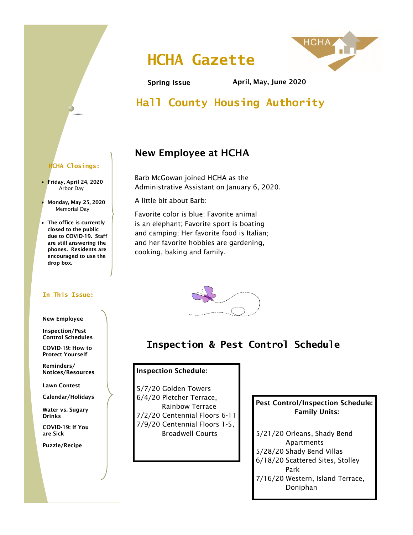# **HCHA Gazette**



Spring Issue April, May, June 2020

## **Hall County Housing Authority**

## New Employee at HCHA

Barb McGowan joined HCHA as the Administrative Assistant on January 6, 2020.

A little bit about Barb:

Favorite color is blue; Favorite animal is an elephant; Favorite sport is boating and camping; Her favorite food is Italian; and her favorite hobbies are gardening, cooking, baking and family.



## **Inspection & Pest Control Schedule**

#### Inspection Schedule:

5/7/20 Golden Towers 6/4/20 Pletcher Terrace, Rainbow Terrace 7/2/20 Centennial Floors 6-11 7/9/20 Centennial Floors 1-5, Broadwell Courts

### Pest Control/Inspection Schedule: Family Units:

5/21/20 Orleans, Shady Bend Apartments 5/28/20 Shady Bend Villas 6/18/20 Scattered Sites, Stolley Park 7/16/20 Western, Island Terrace, Doniphan

### **HCHA Closings:**

- Friday, April 24, 2020 Arbor Day
- Monday, May 25, 2020 Memorial Day
- The office is currently closed to the public due to COVID-19. Staff are still answering the phones. Residents are encouraged to use the drop box.

#### **In This Issue:**

#### New Employee

Inspection/Pest Control Schedules

COVID-19: How to Protect Yourself

Reminders/ Notices/Resources

Lawn Contest

Calendar/Holidays

Water vs. Sugary Drinks

COVID-19: If You are Sick

Puzzle/Recipe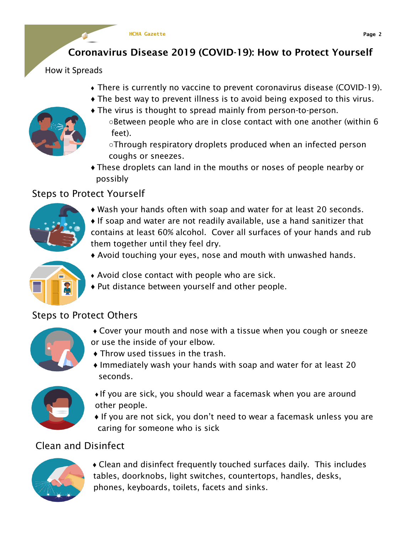## Coronavirus Disease 2019 (COVID-19): How to Protect Yourself

How it Spreads

- ♦ There is currently no vaccine to prevent coronavirus disease (COVID-19).
- ♦ The best way to prevent illness is to avoid being exposed to this virus.
- ♦ The virus is thought to spread mainly from person-to-person.
	- ○Between people who are in close contact with one another (within 6 feet).
	- ○Through respiratory droplets produced when an infected person coughs or sneezes.
	- ♦ These droplets can land in the mouths or noses of people nearby or possibly

## Steps to Protect Yourself



- ♦ Wash your hands often with soap and water for at least 20 seconds.
- $\bullet$  If soap and water are not readily available, use a hand sanitizer that contains at least 60% alcohol. Cover all surfaces of your hands and rub them together until they feel dry.
	- ♦ Avoid touching your eyes, nose and mouth with unwashed hands.



- ♦ Avoid close contact with people who are sick.
- ♦ Put distance between yourself and other people.

## Steps to Protect Others



- ♦ Cover your mouth and nose with a tissue when you cough or sneeze or use the inside of your elbow.
- ♦ Throw used tissues in the trash.
- ♦ Immediately wash your hands with soap and water for at least 20 seconds.



- ♦ If you are sick, you should wear a facemask when you are around other people.
- ♦ If you are not sick, you don't need to wear a facemask unless you are caring for someone who is sick

## Clean and Disinfect



♦ Clean and disinfect frequently touched surfaces daily. This includes tables, doorknobs, light switches, countertops, handles, desks, phones, keyboards, toilets, facets and sinks.

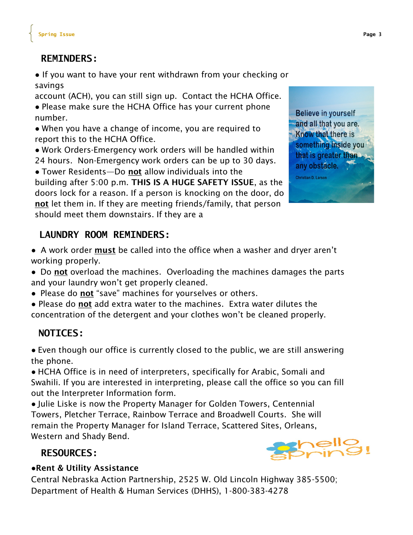## **REMINDERS:**

● If you want to have your rent withdrawn from your checking or savings

account (ACH), you can still sign up. Contact the HCHA Office.

● Please make sure the HCHA Office has your current phone number.

● When you have a change of income, you are required to report this to the HCHA Office.

● Work Orders-Emergency work orders will be handled within 24 hours. Non-Emergency work orders can be up to 30 days.

• Tower Residents—Do not allow individuals into the building after 5:00 p.m. THIS IS A HUGE SAFETY ISSUE, as the doors lock for a reason. If a person is knocking on the door, do not let them in. If they are meeting friends/family, that person should meet them downstairs. If they are a

**Believe in yourself** and all that you are. Know that there is something inside you that is greater than  $\mathbb{R}$ any obstacle.

Christian D. Larson

### **LAUNDRY ROOM REMINDERS:**

- A work order must be called into the office when a washer and dryer aren't working properly.
- Do not overload the machines. Overloading the machines damages the parts and your laundry won't get properly cleaned.
- Please do not "save" machines for yourselves or others.
- Please do not add extra water to the machines. Extra water dilutes the concentration of the detergent and your clothes won't be cleaned properly.

### **NOTICES:**

● Even though our office is currently closed to the public, we are still answering the phone.

● HCHA Office is in need of interpreters, specifically for Arabic, Somali and Swahili. If you are interested in interpreting, please call the office so you can fill out the Interpreter Information form.

● Julie Liske is now the Property Manager for Golden Towers, Centennial Towers, Pletcher Terrace, Rainbow Terrace and Broadwell Courts. She will remain the Property Manager for Island Terrace, Scattered Sites, Orleans, Western and Shady Bend.

### **RESOURCES:**



### **●**Rent & Utility Assistance

Central Nebraska Action Partnership, 2525 W. Old Lincoln Highway 385-5500; Department of Health & Human Services (DHHS), 1-800-383-4278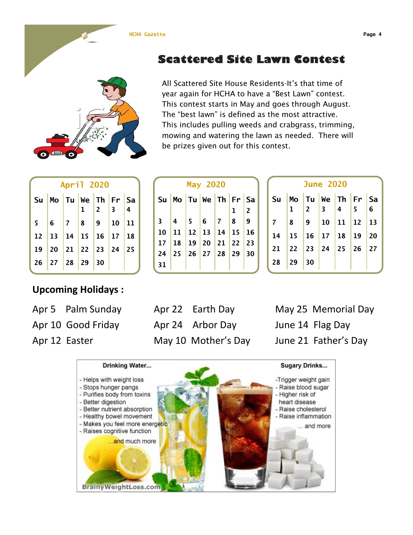#### **HCHA Gazette Page 4**

## **Scattered Site Lawn Contest**

All Scattered Site House Residents-It's that time of year again for HCHA to have a "Best Lawn" contest. This contest starts in May and goes through August. The "best lawn" is defined as the most attractive. This includes pulling weeds and crabgrass, trimming, mowing and watering the lawn as needed. There will be prizes given out for this contest.

**1 2**

| April 2020           |                                    |  |  |  |  |    |  |  |  |
|----------------------|------------------------------------|--|--|--|--|----|--|--|--|
| Su Mo Tu We Th Fr Sa |                                    |  |  |  |  |    |  |  |  |
|                      |                                    |  |  |  |  |    |  |  |  |
|                      | $5 \t6 \t7 \t8 \t9 \t10$           |  |  |  |  | 11 |  |  |  |
|                      | $12$   13   14   15   16   17   18 |  |  |  |  |    |  |  |  |
|                      | 19 20 21 22 23 24 25               |  |  |  |  |    |  |  |  |
|                      | $26$ 27 28 29 30                   |  |  |  |  |    |  |  |  |

### **Upcoming Holidays :**

Apr 10 Good Friday Apr 24 Arbor Day June 14 Flag Day Apr 12 Easter May 10 Mother's Day June 21 Father's Day

**Su Mo Tu We Th Fr Sa**

**May 2020**

 **4 5 6 7 8 9 11 12 13 14 15 16 18 19 20 21 22 23 25 26 27 28 29 30**

**31**

Apr 5 Palm Sunday Apr 22 Earth Day May 25 Memorial Day





| <b>June 2020</b> |    |           |                                                        |                   |           |    |
|------------------|----|-----------|--------------------------------------------------------|-------------------|-----------|----|
| Su               | Mo |           |                                                        | Tu We Th Fr Sa    |           |    |
|                  | 1  | $\vert$ 2 | $\begin{array}{ c c c c }\n\hline\n3 & 4\n\end{array}$ |                   | 15        | 6  |
|                  | 8  | 9         |                                                        | $10$ 11 12 13     |           |    |
| 14               | 15 |           | $16$ 17 18                                             |                   | <b>19</b> | 20 |
| 21               |    |           |                                                        | 22 23 24 25 26 27 |           |    |
| 28               |    |           |                                                        |                   |           |    |
|                  |    |           |                                                        |                   |           |    |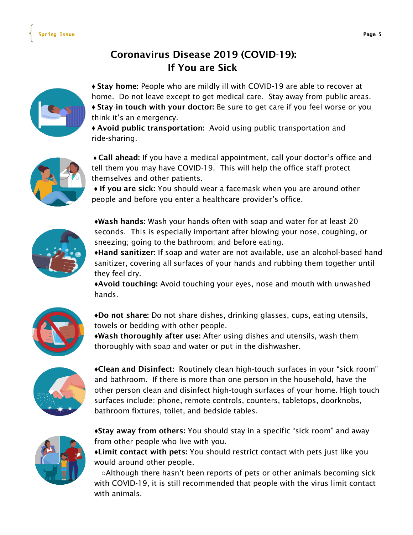## Coronavirus Disease 2019 (COVID-19): If You are Sick



♦ Stay home: People who are mildly ill with COVID-19 are able to recover at home. Do not leave except to get medical care. Stay away from public areas. ♦ Stay in touch with your doctor: Be sure to get care if you feel worse or you think it's an emergency.

♦ Avoid public transportation: Avoid using public transportation and ride-sharing.



♦ Call ahead: If you have a medical appointment, call your doctor's office and tell them you may have COVID-19. This will help the office staff protect themselves and other patients.

♦ If you are sick: You should wear a facemask when you are around other people and before you enter a healthcare provider's office.



**♦**Wash hands: Wash your hands often with soap and water for at least 20 seconds. This is especially important after blowing your nose, coughing, or sneezing; going to the bathroom; and before eating.

♦Hand sanitizer: If soap and water are not available, use an alcohol-based hand sanitizer, covering all surfaces of your hands and rubbing them together until they feel dry.

♦Avoid touching: Avoid touching your eyes, nose and mouth with unwashed hands.



♦Do not share: Do not share dishes, drinking glasses, cups, eating utensils, towels or bedding with other people.

♦Wash thoroughly after use: After using dishes and utensils, wash them thoroughly with soap and water or put in the dishwasher.



♦Clean and Disinfect: Routinely clean high-touch surfaces in your "sick room" and bathroom. If there is more than one person in the household, have the other person clean and disinfect high-tough surfaces of your home. High touch surfaces include: phone, remote controls, counters, tabletops, doorknobs, bathroom fixtures, toilet, and bedside tables.



**♦**Stay away from others: You should stay in a specific "sick room" and away from other people who live with you.

♦Limit contact with pets: You should restrict contact with pets just like you would around other people.

 ○Although there hasn't been reports of pets or other animals becoming sick with COVID-19, it is still recommended that people with the virus limit contact with animals.